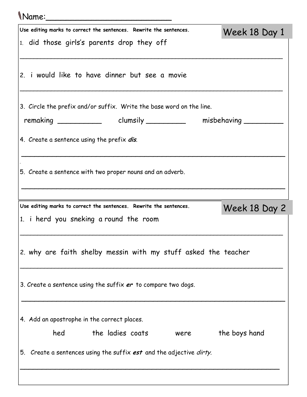| Name:                                                                |               |
|----------------------------------------------------------------------|---------------|
| Use editing marks to correct the sentences. Rewrite the sentences.   | Week 18 Day 1 |
| 1. did those girls's parents drop they off                           |               |
| 2. i would like to have dinner but see a movie                       |               |
| 3. Circle the prefix and/or suffix. Write the base word on the line. |               |
|                                                                      |               |
| 4. Create a sentence using the prefix dis.                           |               |
| 5. Create a sentence with two proper nouns and an adverb.            |               |
| Use editing marks to correct the sentences. Rewrite the sentences.   |               |
| 1. i herd you sneking a round the room                               | Week 18 Day 2 |
| 2. why are faith shelby messin with my stuff asked the teacher       |               |
| 3. Create a sentence using the suffix er to compare two dogs.        |               |
| 4. Add an apostrophe in the correct places.                          |               |
| the ladies coats<br>hed<br>were                                      | the boys hand |
| 5. Create a sentences using the suffix est and the adjective dirty.  |               |
|                                                                      |               |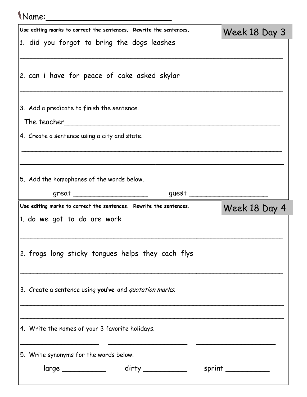| Mame:                                                              |                     |
|--------------------------------------------------------------------|---------------------|
| Use editing marks to correct the sentences. Rewrite the sentences. | Week 18 Day 3       |
| 1. did you forgot to bring the dogs leashes                        |                     |
| 2. can i have for peace of cake asked skylar                       |                     |
| 3. Add a predicate to finish the sentence.                         |                     |
|                                                                    |                     |
| 4. Create a sentence using a city and state.                       |                     |
|                                                                    |                     |
|                                                                    |                     |
| 5. Add the homophones of the words below.                          |                     |
| great ________________________                                     | guest $\frac{1}{2}$ |
|                                                                    |                     |
| Use editing marks to correct the sentences. Rewrite the sentences. | Week 18 Day 4       |
| 1. do we got to do are work                                        |                     |
| 2. frogs long sticky tongues helps they cach flys                  |                     |
| 3. Create a sentence using you've and quotation marks.             |                     |
| 4. Write the names of your 3 favorite holidays.                    |                     |
|                                                                    |                     |
| 5. Write synonyms for the words below.                             |                     |